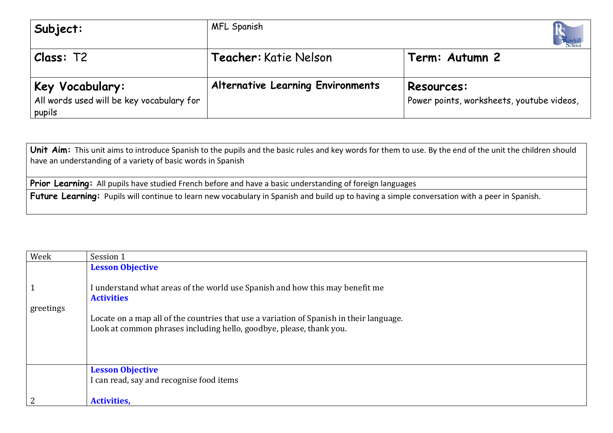| Subject:                                                               | <b>MFL Spanish</b>                       |                                                         |
|------------------------------------------------------------------------|------------------------------------------|---------------------------------------------------------|
| Class: T2                                                              | <b>Teacher:</b> Katie Nelson             | Term: Autumn 2                                          |
| Key Vocabulary:<br>All words used will be key vocabulary for<br>pupils | <b>Alternative Learning Environments</b> | Resources:<br>Power points, worksheets, youtube videos, |

Unit Aim: This unit aims to introduce Spanish to the pupils and the basic rules and key words for them to use. By the end of the unit the children should have an understanding of a variety of basic words in Spanish

Prior Learning: All pupils have studied French before and have a basic understanding of foreign languages

Future Learning: Pupils will continue to learn new vocabulary in Spanish and build up to having a simple conversation with a peer in Spanish.

| Week         | Session 1                                                                               |
|--------------|-----------------------------------------------------------------------------------------|
|              | <b>Lesson Objective</b>                                                                 |
|              |                                                                                         |
| $\mathbf{1}$ | I understand what areas of the world use Spanish and how this may benefit me            |
|              | <b>Activities</b>                                                                       |
| greetings    |                                                                                         |
|              | Locate on a map all of the countries that use a variation of Spanish in their language. |
|              | Look at common phrases including hello, goodbye, please, thank you.                     |
|              |                                                                                         |
|              |                                                                                         |
|              |                                                                                         |
|              | <b>Lesson Objective</b>                                                                 |
|              | I can read, say and recognise food items                                                |
|              |                                                                                         |
| 2            | <b>Activities,</b>                                                                      |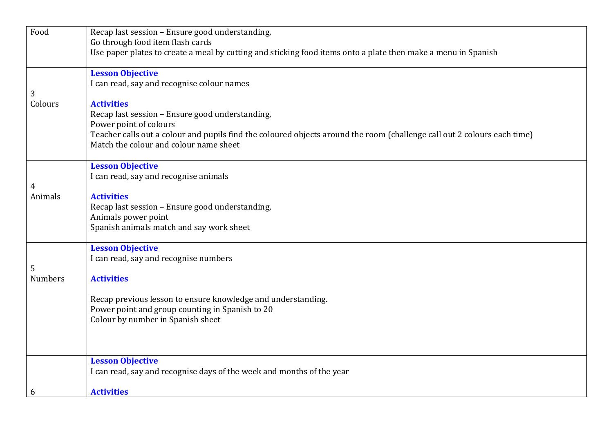| Food                | Recap last session - Ensure good understanding,                                                                          |
|---------------------|--------------------------------------------------------------------------------------------------------------------------|
|                     | Go through food item flash cards                                                                                         |
|                     | Use paper plates to create a meal by cutting and sticking food items onto a plate then make a menu in Spanish            |
|                     |                                                                                                                          |
|                     | <b>Lesson Objective</b>                                                                                                  |
|                     | I can read, say and recognise colour names                                                                               |
| 3<br>Colours        | <b>Activities</b>                                                                                                        |
|                     | Recap last session - Ensure good understanding,                                                                          |
|                     | Power point of colours                                                                                                   |
|                     | Teacher calls out a colour and pupils find the coloured objects around the room (challenge call out 2 colours each time) |
|                     | Match the colour and colour name sheet                                                                                   |
|                     |                                                                                                                          |
|                     | <b>Lesson Objective</b>                                                                                                  |
|                     | I can read, say and recognise animals                                                                                    |
| 4<br>Animals        | <b>Activities</b>                                                                                                        |
|                     | Recap last session - Ensure good understanding,                                                                          |
|                     | Animals power point                                                                                                      |
|                     | Spanish animals match and say work sheet                                                                                 |
|                     |                                                                                                                          |
|                     | <b>Lesson Objective</b>                                                                                                  |
|                     | I can read, say and recognise numbers                                                                                    |
| 5<br><b>Numbers</b> | <b>Activities</b>                                                                                                        |
|                     |                                                                                                                          |
|                     | Recap previous lesson to ensure knowledge and understanding.                                                             |
|                     | Power point and group counting in Spanish to 20                                                                          |
|                     | Colour by number in Spanish sheet                                                                                        |
|                     |                                                                                                                          |
|                     |                                                                                                                          |
|                     |                                                                                                                          |
|                     | <b>Lesson Objective</b><br>I can read, say and recognise days of the week and months of the year                         |
|                     |                                                                                                                          |
| 6                   | <b>Activities</b>                                                                                                        |